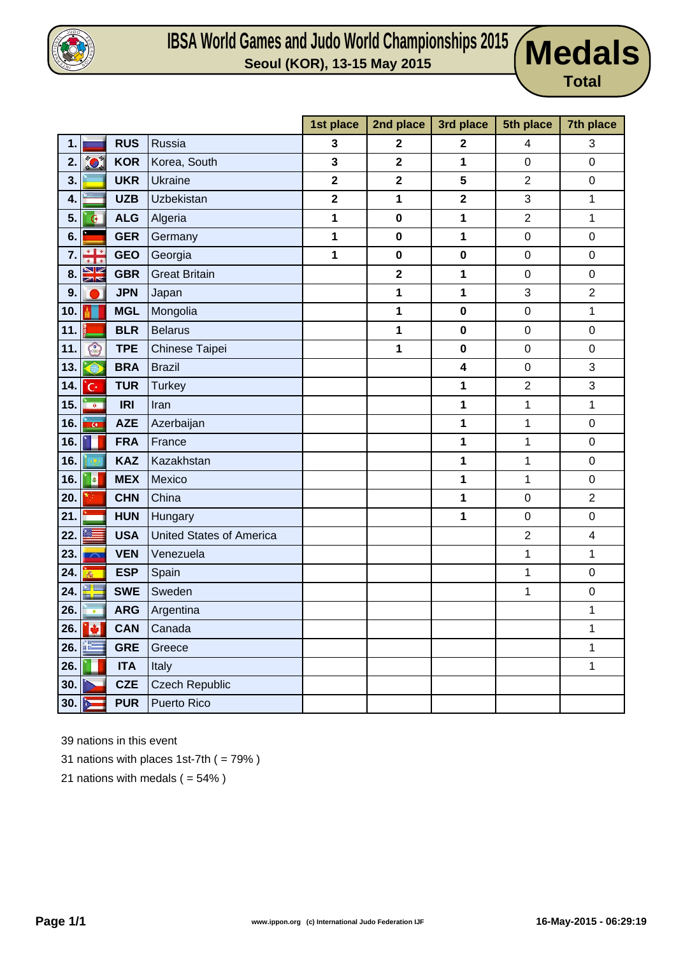

### **IBSA World Games and Judo World Championships 2015 Seoul (KOR), 13-15 May 2015 Medals**



|                 |                   |            |                                 | 1st place               | 2nd place               | 3rd place               | 5th place        | 7th place                 |
|-----------------|-------------------|------------|---------------------------------|-------------------------|-------------------------|-------------------------|------------------|---------------------------|
| 1.              |                   | <b>RUS</b> | Russia                          | 3                       | $\mathbf{2}$            | $\mathbf{2}$            | 4                | 3                         |
| 2.              | $\sum_{i=1}^{N}$  | <b>KOR</b> | Korea, South                    | 3                       | $\overline{\mathbf{2}}$ | 1                       | $\pmb{0}$        | $\boldsymbol{0}$          |
| 3.              |                   | <b>UKR</b> | <b>Ukraine</b>                  | $\overline{\mathbf{2}}$ | $\overline{\mathbf{2}}$ | 5                       | $\overline{2}$   | $\boldsymbol{0}$          |
| 4.              |                   | <b>UZB</b> | <b>Uzbekistan</b>               | $\mathbf 2$             | 1                       | $\mathbf{2}$            | 3                | $\mathbf{1}$              |
| 5.              | G.                | <b>ALG</b> | Algeria                         | 1                       | $\mathbf 0$             | 1                       | $\overline{2}$   | $\mathbf{1}$              |
| 6.              |                   | <b>GER</b> | Germany                         | 1                       | $\mathbf 0$             | 1                       | $\boldsymbol{0}$ | $\boldsymbol{0}$          |
| 7.              | ÷                 | <b>GEO</b> | Georgia                         | 1                       | $\mathbf 0$             | $\pmb{0}$               | $\boldsymbol{0}$ | $\boldsymbol{0}$          |
| 8               | V<br>बाब          | <b>GBR</b> | <b>Great Britain</b>            |                         | $\overline{\mathbf{2}}$ | 1                       | $\boldsymbol{0}$ | $\boldsymbol{0}$          |
| 9               |                   | <b>JPN</b> | Japan                           |                         | 1                       | 1                       | $\sqrt{3}$       | $\mathbf 2$               |
| 10 <sub>1</sub> |                   | <b>MGL</b> | Mongolia                        |                         | 1                       | $\bf{0}$                | $\mathbf 0$      | $\mathbf{1}$              |
| 11.             |                   | <b>BLR</b> | <b>Belarus</b>                  |                         | 1                       | $\pmb{0}$               | $\pmb{0}$        | $\boldsymbol{0}$          |
| 11.             | O                 | <b>TPE</b> | Chinese Taipei                  |                         | $\mathbf 1$             | $\mathbf 0$             | $\pmb{0}$        | $\pmb{0}$                 |
| 13.             | $\bigcap$         | <b>BRA</b> | <b>Brazil</b>                   |                         |                         | $\overline{\mathbf{4}}$ | $\boldsymbol{0}$ | 3                         |
| 14.             | 'G٠               | <b>TUR</b> | <b>Turkey</b>                   |                         |                         | 1                       | $\boldsymbol{2}$ | $\ensuremath{\mathsf{3}}$ |
| 15.             | <b>100</b>        | <b>IRI</b> | Iran                            |                         |                         | 1                       | 1                | $\mathbf 1$               |
| 16.             | $\alpha$          | <b>AZE</b> | Azerbaijan                      |                         |                         | 1                       | $\mathbf 1$      | $\boldsymbol{0}$          |
| 16.             |                   | <b>FRA</b> | France                          |                         |                         | 1                       | $\mathbf{1}$     | $\mathbf 0$               |
| 16.             |                   | <b>KAZ</b> | Kazakhstan                      |                         |                         | 1                       | 1                | $\mathbf 0$               |
| 16.             | 3                 | <b>MEX</b> | Mexico                          |                         |                         | 1                       | 1                | $\boldsymbol{0}$          |
| 20.             |                   | <b>CHN</b> | China                           |                         |                         | 1                       | $\pmb{0}$        | $\boldsymbol{2}$          |
| 21.             |                   | <b>HUN</b> | Hungary                         |                         |                         | 1                       | $\boldsymbol{0}$ | $\boldsymbol{0}$          |
| 22.             |                   | <b>USA</b> | <b>United States of America</b> |                         |                         |                         | $\sqrt{2}$       | 4                         |
| 23.             | 2000              | <b>VEN</b> | Venezuela                       |                         |                         |                         | 1                | 1                         |
| 24.             | $\bar{m}$         | <b>ESP</b> | Spain                           |                         |                         |                         | 1                | $\boldsymbol{0}$          |
| 24.             | ▚                 | <b>SWE</b> | Sweden                          |                         |                         |                         | 1                | $\boldsymbol{0}$          |
| 26.             | $\bullet$         | <b>ARG</b> | Argentina                       |                         |                         |                         |                  | 1                         |
|                 | 26. $\frac{1}{2}$ | <b>CAN</b> | Canada                          |                         |                         |                         |                  | 1                         |
| 26.             |                   | <b>GRE</b> | Greece                          |                         |                         |                         |                  | $\mathbf 1$               |
| 26.             |                   | <b>ITA</b> | Italy                           |                         |                         |                         |                  | $\mathbf{1}$              |
| 30.             |                   | <b>CZE</b> | <b>Czech Republic</b>           |                         |                         |                         |                  |                           |
| 30.             |                   | <b>PUR</b> | Puerto Rico                     |                         |                         |                         |                  |                           |

39 nations in this event

- 31 nations with places 1st-7th ( = 79% )
- 21 nations with medals  $( = 54\%)$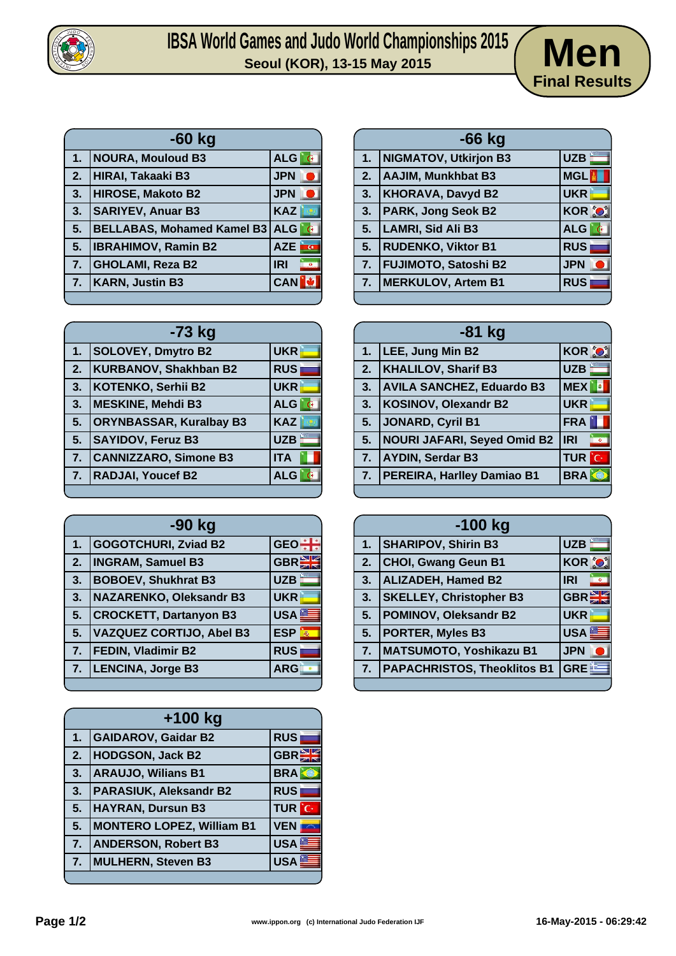

# **IBSA World Games and Judo World Championships 2015**  $\left(\text{Men}\right)$



|    | -60 kg                            |                                       |  |  |  |
|----|-----------------------------------|---------------------------------------|--|--|--|
| 1. | <b>NOURA, Mouloud B3</b>          | ALG<br>G                              |  |  |  |
| 2. | <b>HIRAI, Takaaki B3</b>          | <b>JPN</b>                            |  |  |  |
| 3. | <b>HIROSE, Makoto B2</b>          | <b>JPN</b>                            |  |  |  |
| 3. | <b>SARIYEV, Anuar B3</b>          | <b>KAZ</b>                            |  |  |  |
| 5. | <b>BELLABAS, Mohamed Kamel B3</b> | <b>ALG</b>                            |  |  |  |
| 5. | <b>IBRAHIMOV, Ramin B2</b>        | <b>AZE</b><br>$\overline{\mathbf{c}}$ |  |  |  |
| 7. | <b>GHOLAMI, Reza B2</b>           | <b>IRI</b>                            |  |  |  |
| 7. | <b>KARN, Justin B3</b>            | <b>CAN</b>                            |  |  |  |
|    |                                   |                                       |  |  |  |

|    | -73 kg                         |            |
|----|--------------------------------|------------|
| 1. | <b>SOLOVEY, Dmytro B2</b>      | <b>UKR</b> |
| 2. | <b>KURBANOV, Shakhban B2</b>   | <b>RUS</b> |
| 3. | <b>KOTENKO, Serhii B2</b>      | <b>UKR</b> |
| 3. | <b>MESKINE, Mehdi B3</b>       | <b>ALG</b> |
| 5. | <b>ORYNBASSAR, Kuralbay B3</b> | <b>KAZ</b> |
| 5. | <b>SAYIDOV, Feruz B3</b>       | <b>UZB</b> |
| 7. | <b>CANNIZZARO, Simone B3</b>   | <b>ITA</b> |
| 7. | <b>RADJAI, Youcef B2</b>       | <b>ALG</b> |
|    |                                |            |

| -90 kg |                                 |                  |  |  |
|--------|---------------------------------|------------------|--|--|
| 1.     | <b>GOGOTCHURI, Zviad B2</b>     | <b>GEO</b>       |  |  |
| 2.     | <b>INGRAM, Samuel B3</b>        | GBR <sup>E</sup> |  |  |
| 3.     | <b>BOBOEV, Shukhrat B3</b>      | <b>UZB</b>       |  |  |
| 3.     | <b>NAZARENKO, Oleksandr B3</b>  | <b>UKR</b>       |  |  |
| 5.     | <b>CROCKETT, Dartanyon B3</b>   | <b>USA</b>       |  |  |
| 5.     | <b>VAZQUEZ CORTIJO, Abel B3</b> | <b>ESP</b>       |  |  |
| 7.     | <b>FEDIN, Vladimir B2</b>       | <b>RUS</b>       |  |  |
| 7.     | <b>LENCINA, Jorge B3</b>        | <b>ARG</b>       |  |  |
|        |                                 |                  |  |  |

| $+100$ kg |                                  |                  |  |
|-----------|----------------------------------|------------------|--|
| 1.        | <b>GAIDAROV, Gaidar B2</b>       | <b>RUS</b>       |  |
| 2.        | <b>HODGSON, Jack B2</b>          | GBR              |  |
| 3.        | <b>ARAUJO, Wilians B1</b>        | <b>BRA</b>       |  |
| 3.        | <b>PARASIUK, Aleksandr B2</b>    | <b>RUS</b>       |  |
| 5.        | <b>HAYRAN, Dursun B3</b>         | <b>TUR</b> C     |  |
| 5.        | <b>MONTERO LOPEZ, William B1</b> | <b>VEN</b>       |  |
| 7.        | <b>ANDERSON, Robert B3</b>       | USA <sup>®</sup> |  |
| 7.        | MULHERN, Steven B3               | <b>USA</b>       |  |
|           |                                  |                  |  |

| $-66$ kg |                             |              |  |  |
|----------|-----------------------------|--------------|--|--|
| 1.       | NIGMATOV, Utkirjon B3       | UZB          |  |  |
| 2.       | AAJIM, Munkhbat B3          | <b>MGL</b>   |  |  |
| 3.       | <b>KHORAVA, Davyd B2</b>    | <b>UKR</b>   |  |  |
| 3.       | <b>PARK, Jong Seok B2</b>   | <b>KOR O</b> |  |  |
| 5.       | <b>LAMRI, Sid Ali B3</b>    | <b>ALG</b>   |  |  |
| 5.       | <b>RUDENKO, Viktor B1</b>   | <b>RUS</b>   |  |  |
| 7.       | <b>FUJIMOTO, Satoshi B2</b> | <b>JPN</b>   |  |  |
| 7.       | <b>MERKULOV, Artem B1</b>   | <b>RUS</b>   |  |  |
|          |                             |              |  |  |

| $-81$ kg       |                                  |                              |  |
|----------------|----------------------------------|------------------------------|--|
| 1.             | LEE, Jung Min B2                 | <b>KOR O</b>                 |  |
| 2.             | <b>KHALILOV, Sharif B3</b>       | <b>UZB</b>                   |  |
| 3.             | <b>AVILA SANCHEZ, Eduardo B3</b> | <b>MEX</b>                   |  |
| 3.             | KOSINOV, Olexandr B2             | <b>UKR</b>                   |  |
| 5 <sub>1</sub> | JONARD, Cyril B1                 | FRA                          |  |
| 5.             | NOURI JAFARI, Seyed Omid B2      | <b>IRI</b><br>$\blacksquare$ |  |
| 7.             | <b>AYDIN, Serdar B3</b>          | <b>TUR</b> C                 |  |
|                | 7.   PEREIRA, Harlley Damiao B1  | <b>BRA</b>                   |  |
|                |                                  |                              |  |

|    | $-100$ kg                          |                  |  |  |
|----|------------------------------------|------------------|--|--|
| 1. | <b>SHARIPOV, Shirin B3</b>         | <b>UZB</b>       |  |  |
| 2. | <b>CHOI, Gwang Geun B1</b>         | KOR <sup>%</sup> |  |  |
| 3. | <b>ALIZADEH, Hamed B2</b>          | <b>IRI</b>       |  |  |
| 3. | <b>SKELLEY, Christopher B3</b>     | <b>GBR</b>       |  |  |
| 5. | <b>POMINOV, Oleksandr B2</b>       | <b>UKR</b>       |  |  |
| 5. | <b>PORTER, Myles B3</b>            | <b>USA</b>       |  |  |
| 7. | MATSUMOTO, Yoshikazu B1            | <b>JPN</b>       |  |  |
| 7. | <b>PAPACHRISTOS, Theoklitos B1</b> | <b>GREE</b>      |  |  |
|    |                                    |                  |  |  |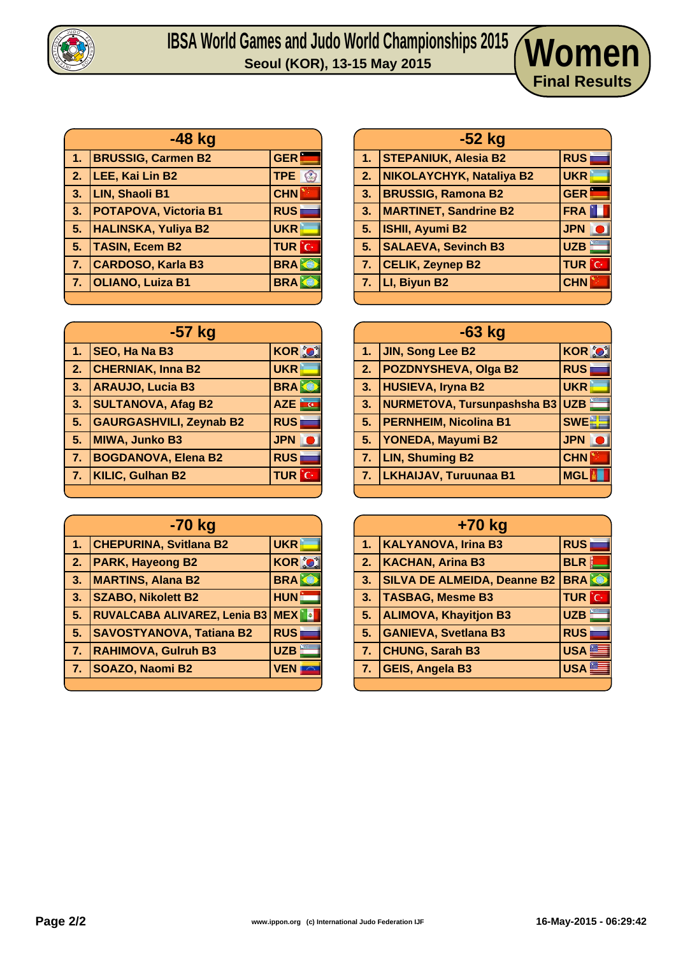

## IBSA WOrld Games and Judo World Championships 2015<br>Seoul (KOR), 13-15 May 2015

| $-48$ kg       |                              |                            |  |  |
|----------------|------------------------------|----------------------------|--|--|
| 1 <sub>1</sub> | <b>BRUSSIG, Carmen B2</b>    | <b>GER</b>                 |  |  |
| 2.             | LEE, Kai Lin B2              | <b>TPE</b><br>$\mathbb{C}$ |  |  |
| 3.             | <b>LIN, Shaoli B1</b>        | <b>CHN</b>                 |  |  |
| 3 <sub>1</sub> | <b>POTAPOVA, Victoria B1</b> | <b>RUS</b>                 |  |  |
| 5.             | <b>HALINSKA, Yuliya B2</b>   | <b>UKR</b>                 |  |  |
| 5.             | <b>TASIN, Ecem B2</b>        | <b>TUR</b> C               |  |  |
| 7 <sub>1</sub> | <b>CARDOSO, Karla B3</b>     | <b>BRA</b>                 |  |  |
| 7.             | <b>OLIANO, Luiza B1</b>      | <b>BRA</b>                 |  |  |
|                |                              |                            |  |  |

| $-57$ kg       |                                |                   |  |  |
|----------------|--------------------------------|-------------------|--|--|
| 1.             | <b>SEO, Ha Na B3</b>           | <b>KOR O</b>      |  |  |
| 2.             | <b>CHERNIAK, Inna B2</b>       | <b>UKR</b>        |  |  |
| 3 <sub>1</sub> | <b>ARAUJO, Lucia B3</b>        | <b>BRAKE</b>      |  |  |
| 3.             | <b>SULTANOVA, Afag B2</b>      | <b>AZE</b><br>i c |  |  |
| 5.             | <b>GAURGASHVILI, Zeynab B2</b> | <b>RUS</b>        |  |  |
| 5.             | <b>MIWA, Junko B3</b>          | <b>JPN</b>        |  |  |
| 7 <sub>1</sub> | <b>BOGDANOVA, Elena B2</b>     | <b>RUS</b>        |  |  |
| 7.             | <b>KILIC, Gulhan B2</b>        | <b>TUR</b><br>ÎС  |  |  |
|                |                                |                   |  |  |

| -70 kg         |                                     |              |  |
|----------------|-------------------------------------|--------------|--|
| 1.             | <b>CHEPURINA, Svitlana B2</b>       | <b>UKR</b>   |  |
| 2.             | <b>PARK, Hayeong B2</b>             | <b>KOR O</b> |  |
| 3.             | <b>MARTINS, Alana B2</b>            | <b>BRA</b>   |  |
| 3.             | <b>SZABO, Nikolett B2</b>           | <b>HUN</b>   |  |
| 5.             | <b>RUVALCABA ALIVAREZ, Lenia B3</b> | <b>MEX</b>   |  |
| 5.             | <b>SAVOSTYANOVA, Tatiana B2</b>     | <b>RUS</b>   |  |
| 7.             | <b>RAHIMOVA, Gulruh B3</b>          | <b>UZB</b>   |  |
| 7 <sub>1</sub> | SOAZO, Naomi B2                     | <b>VEN</b>   |  |
|                |                                     |              |  |

|                | -52 kg                       |              |  |  |  |
|----------------|------------------------------|--------------|--|--|--|
| 1 <sub>1</sub> | <b>STEPANIUK, Alesia B2</b>  | <b>RUS</b>   |  |  |  |
| 2.             | NIKOLAYCHYK, Nataliya B2     | <b>UKR</b>   |  |  |  |
| 3.             | <b>BRUSSIG, Ramona B2</b>    | <b>GER</b>   |  |  |  |
| 3.             | <b>MARTINET, Sandrine B2</b> | FRA          |  |  |  |
| 5 <sub>1</sub> | <b>ISHII, Ayumi B2</b>       | <b>JPN</b>   |  |  |  |
| 5.             | <b>SALAEVA, Sevinch B3</b>   | UZB          |  |  |  |
|                | 7. CELIK, Zeynep B2          | <b>TUR</b> C |  |  |  |
| 7 <sub>1</sub> | LI, Biyun B2                 | <b>CHN</b>   |  |  |  |
|                |                              |              |  |  |  |

**Final Results**

| $-63$ kg         |                                        |               |  |
|------------------|----------------------------------------|---------------|--|
| 1 <sub>1</sub>   | <b>JIN, Song Lee B2</b>                | <b>KOR OF</b> |  |
| 2.               | <b>POZDNYSHEVA, Olga B2</b>            | <b>RUS</b>    |  |
| 3.               | <b>HUSIEVA, Iryna B2</b>               | <b>UKR</b>    |  |
| 3.               | <b>NURMETOVA, Tursunpashsha B3 UZB</b> |               |  |
| 5 <sub>1</sub>   | <b>PERNHEIM, Nicolina B1</b>           | <b>SWE</b>    |  |
| 5 <sub>1</sub>   | <b>YONEDA, Mayumi B2</b>               | <b>JPN</b>    |  |
| $\overline{7}$ . | <b>LIN, Shuming B2</b>                 | <b>CHN</b>    |  |
| 7.               | <b>LKHAIJAV, Turuunaa B1</b>           | <b>MGL</b>    |  |
|                  |                                        |               |  |

| +70 kg |                                    |                  |  |
|--------|------------------------------------|------------------|--|
| 1.     | <b>KALYANOVA, Irina B3</b>         | <b>RUS</b>       |  |
| 2.7    | <b>KACHAN, Arina B3</b>            | <b>BLR</b>       |  |
| 3.     | <b>SILVA DE ALMEIDA, Deanne B2</b> | <b>BRA</b>       |  |
| 3.     | <b>TASBAG, Mesme B3</b>            | <b>TUR</b> C     |  |
| 5.     | <b>ALIMOVA, Khayitjon B3</b>       | <b>UZB</b>       |  |
| 5.     | <b>GANIEVA, Svetlana B3</b>        | <b>RUS</b>       |  |
| 7.     | <b>CHUNG, Sarah B3</b>             | USA <sup>S</sup> |  |
| 7.     | <b>GEIS, Angela B3</b>             | USA <sup>®</sup> |  |
|        |                                    |                  |  |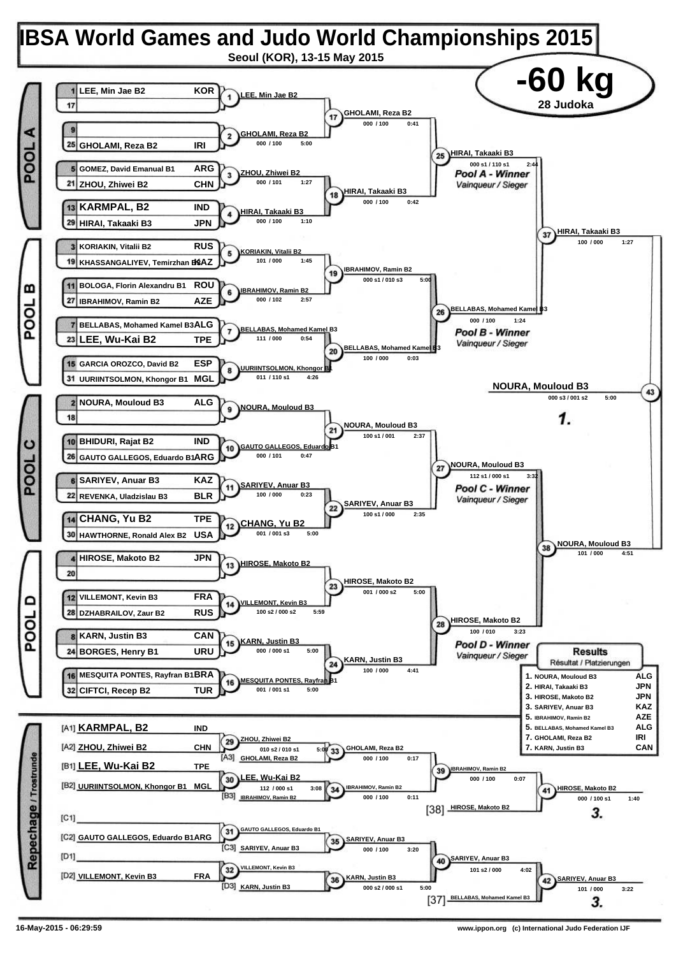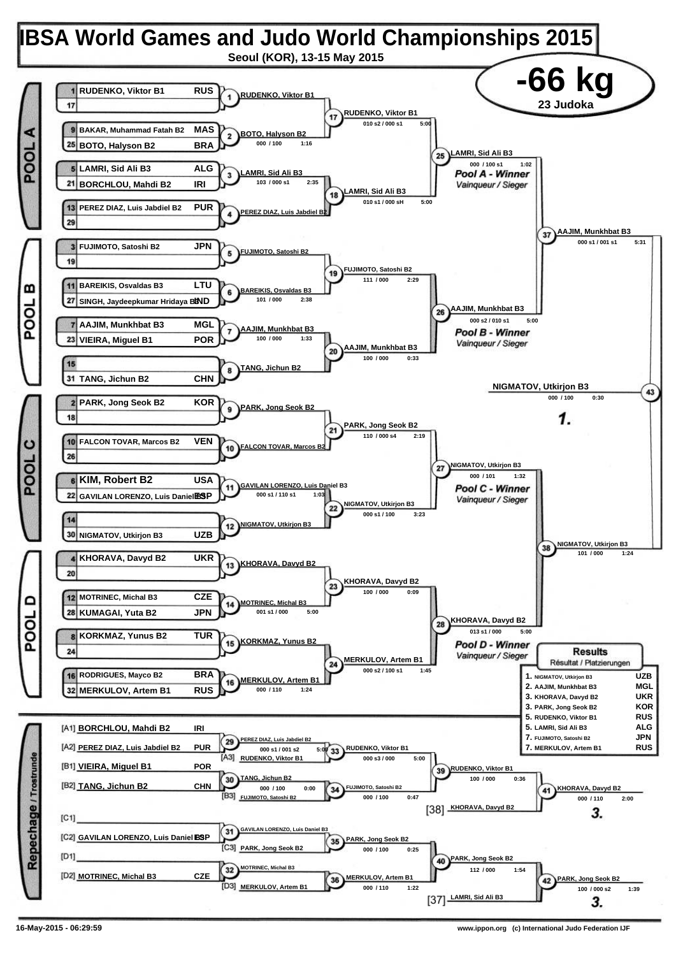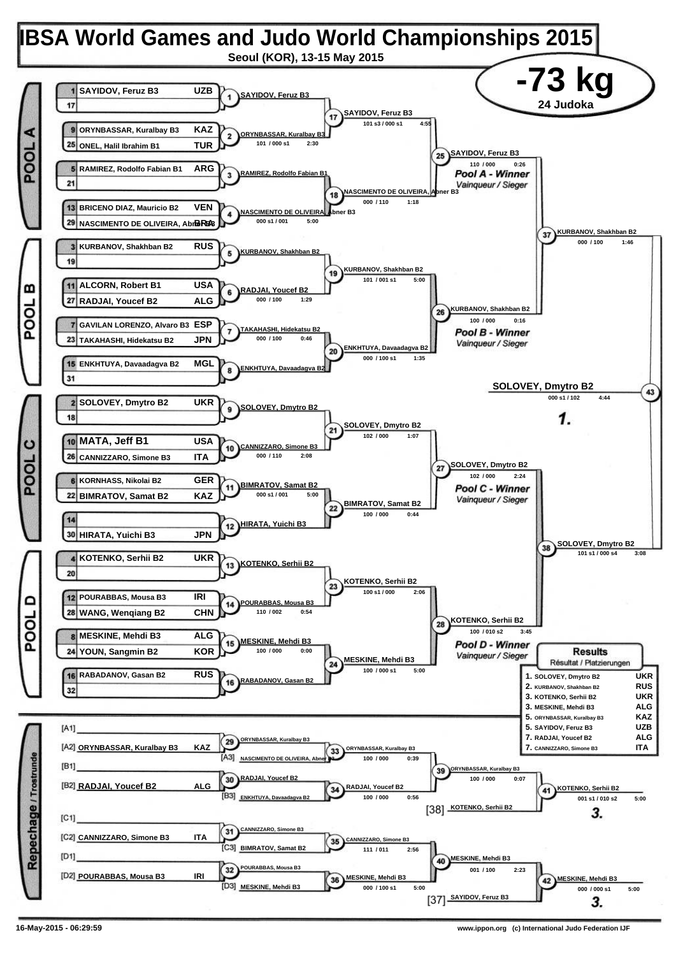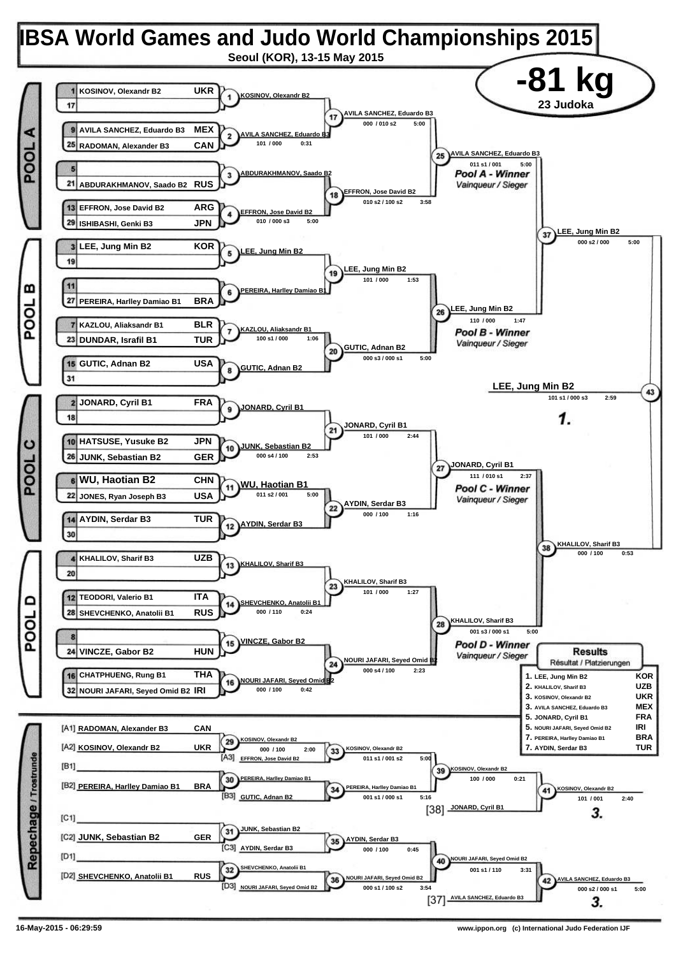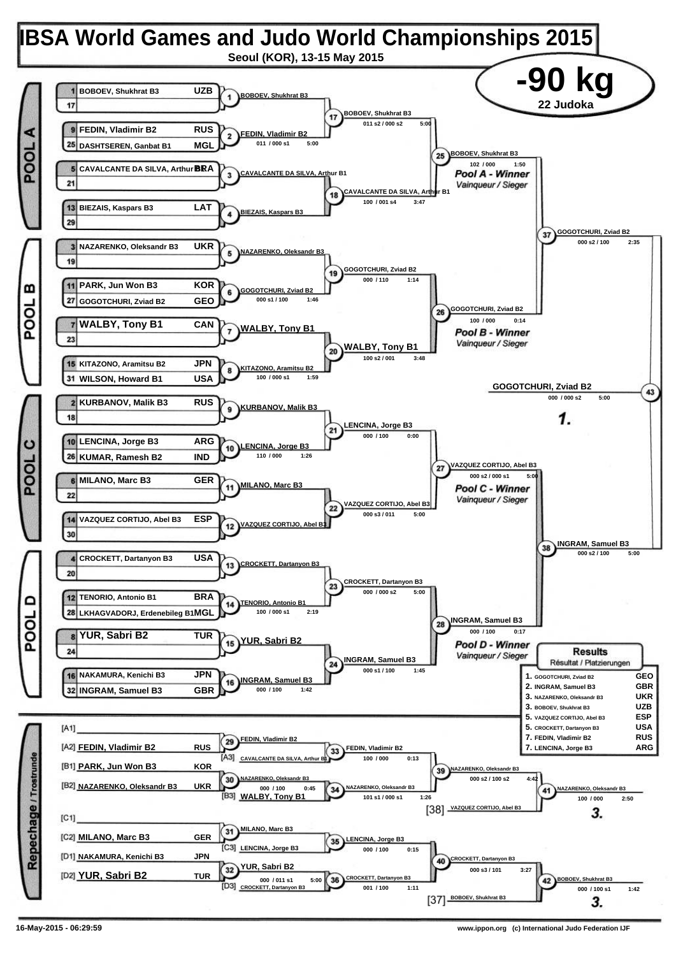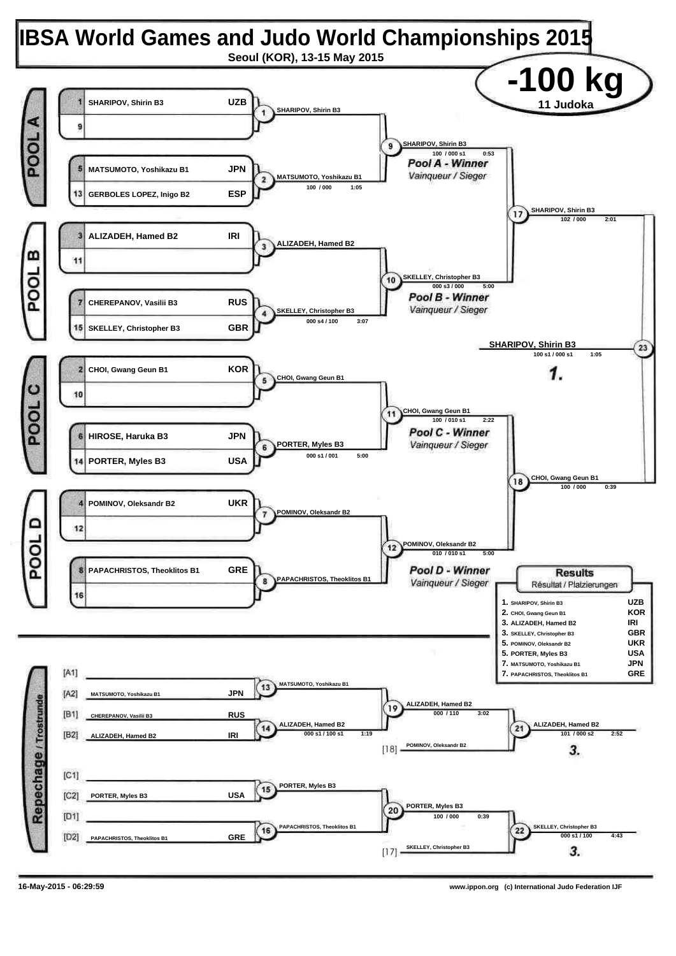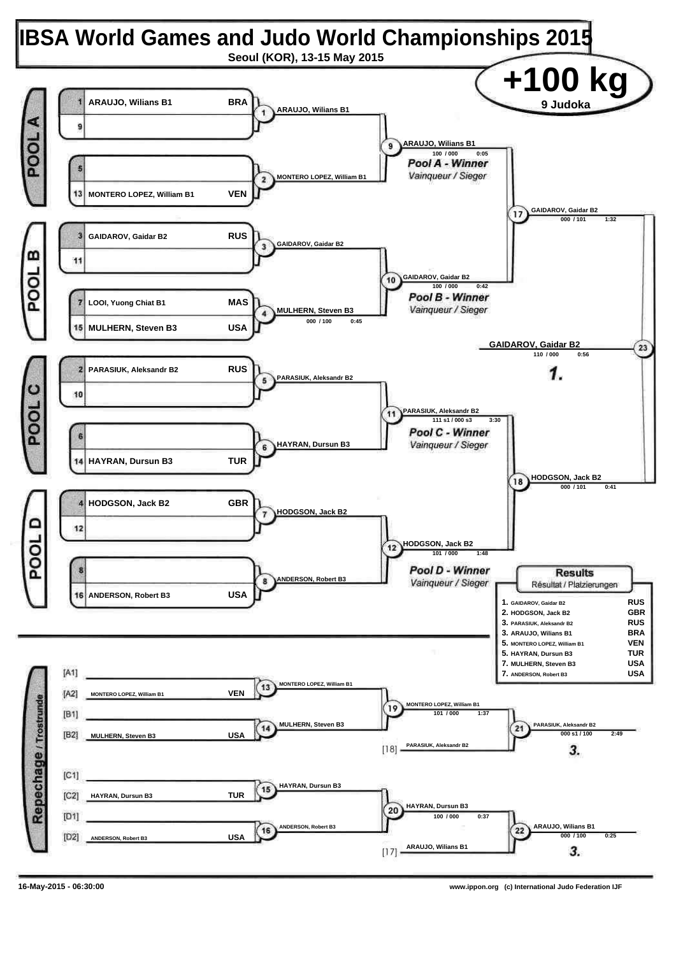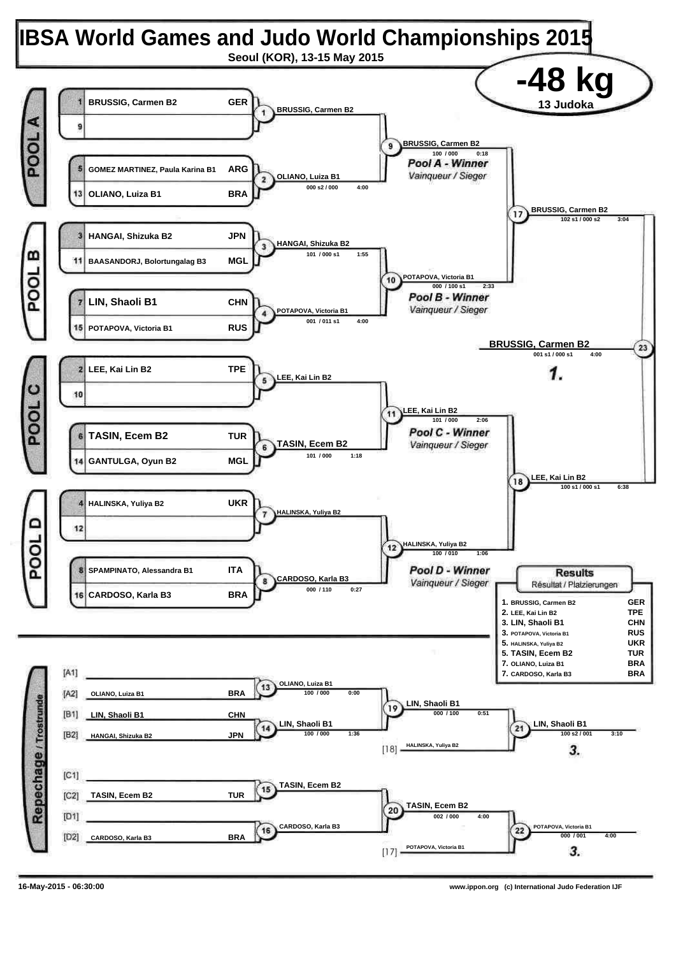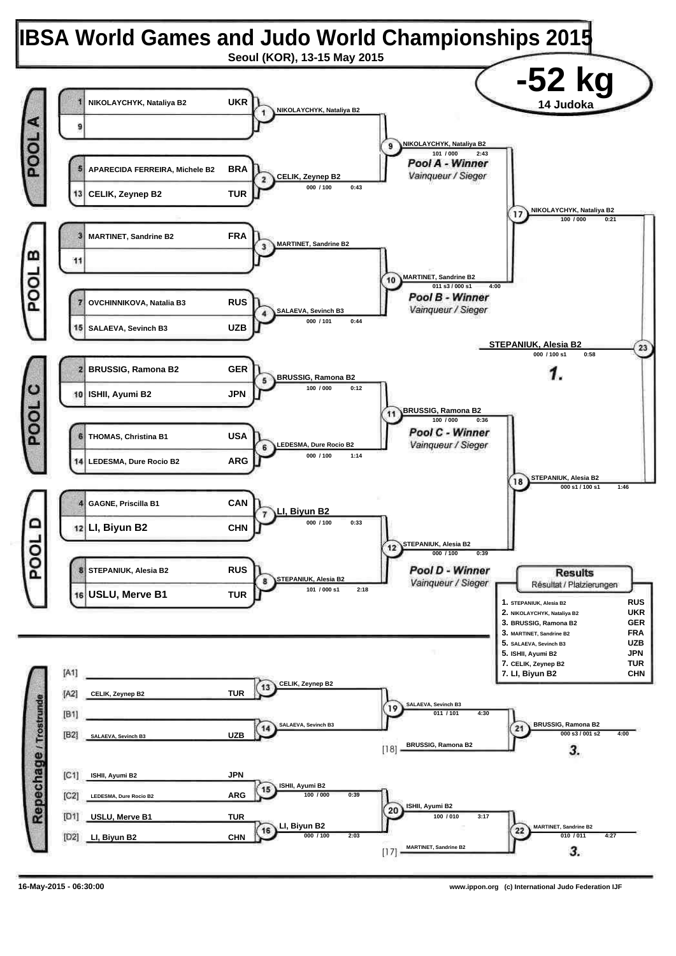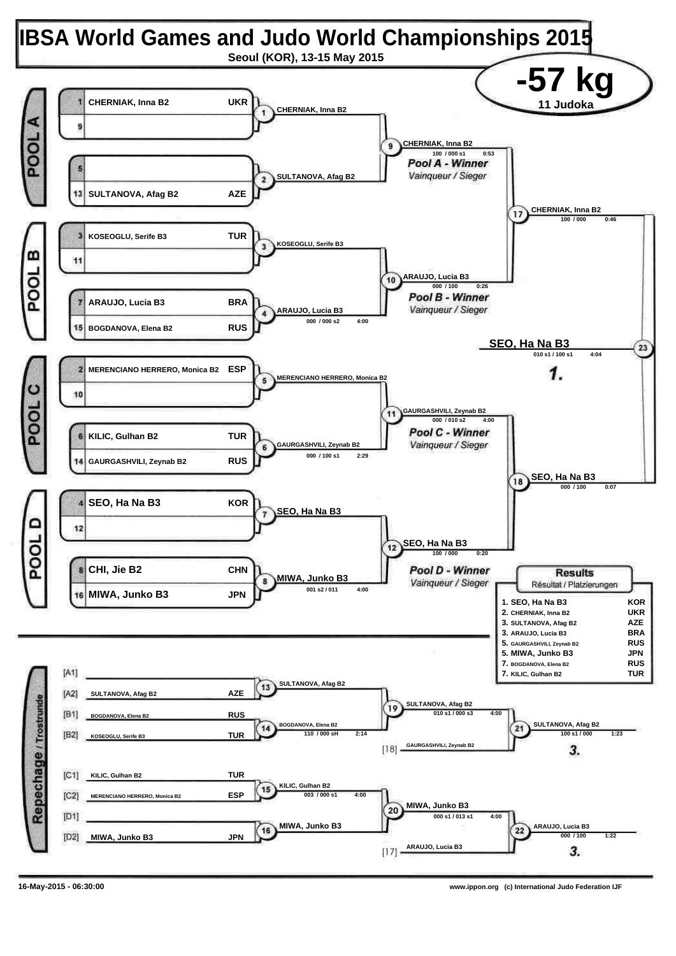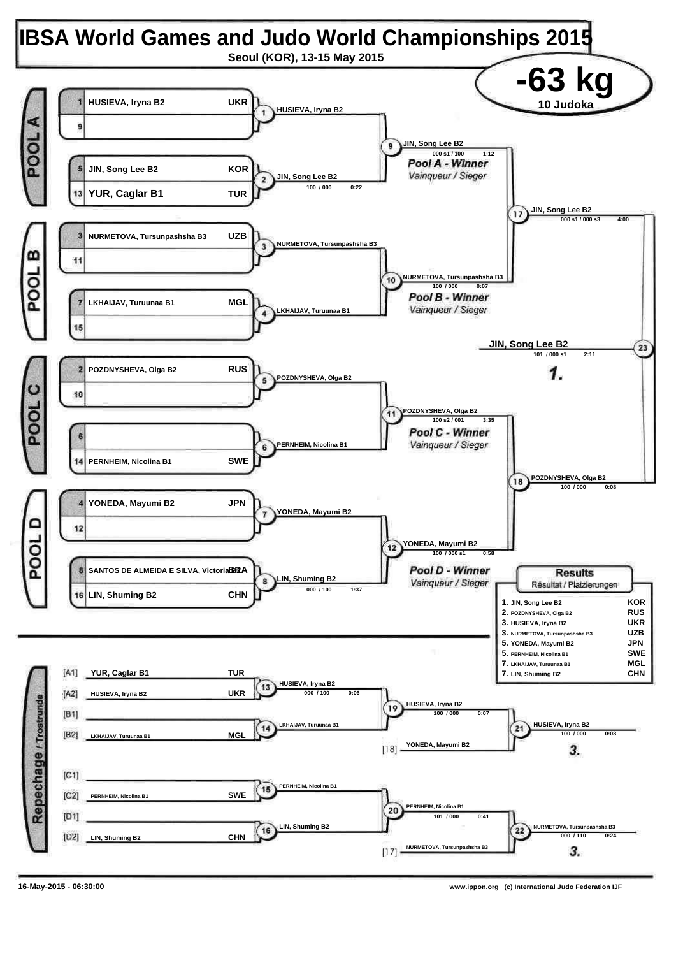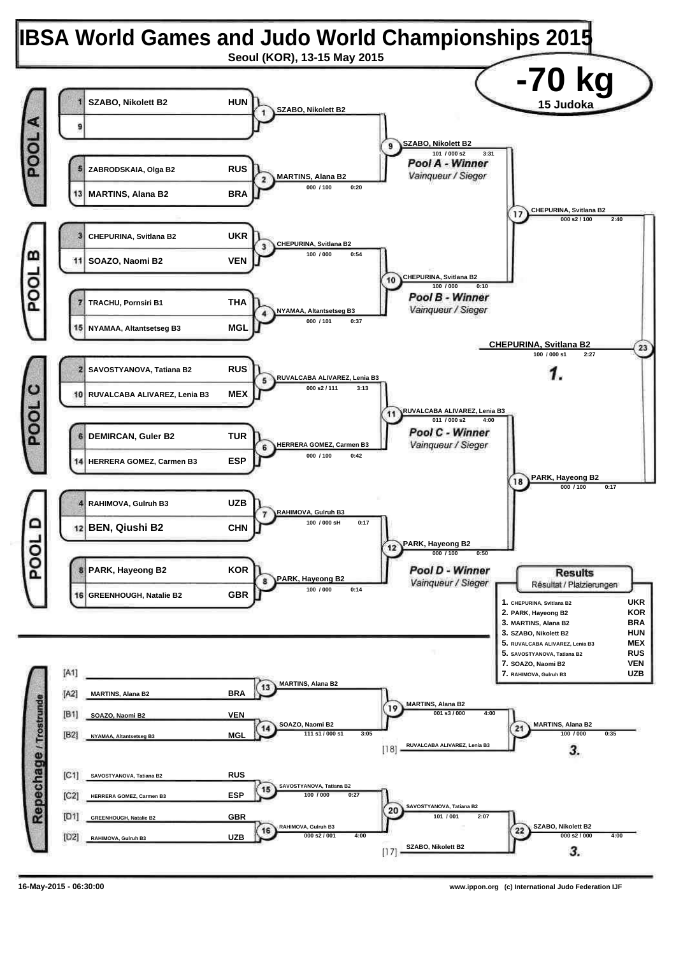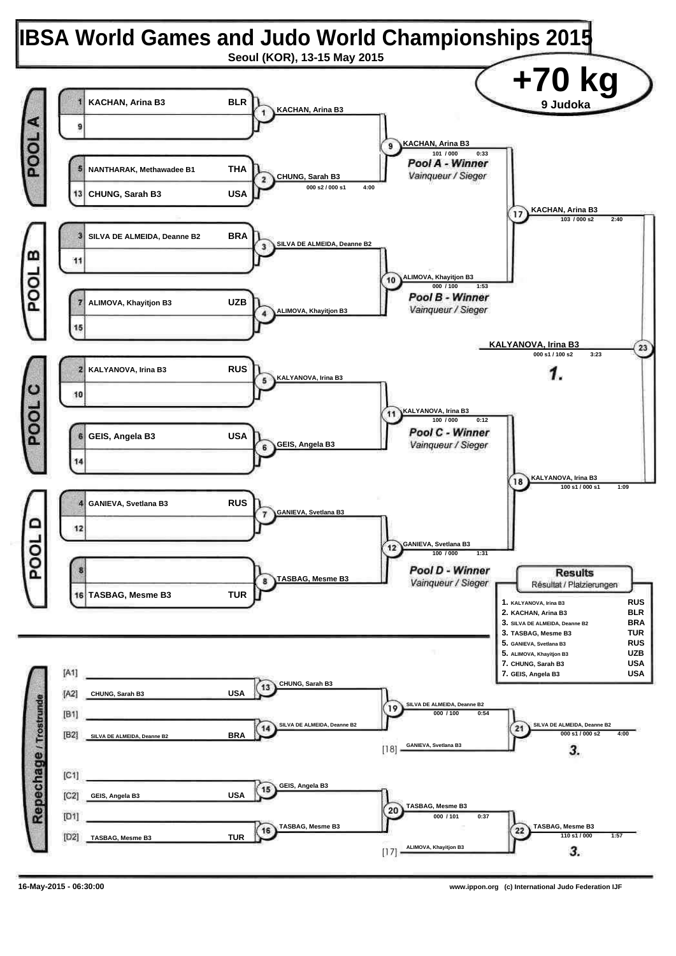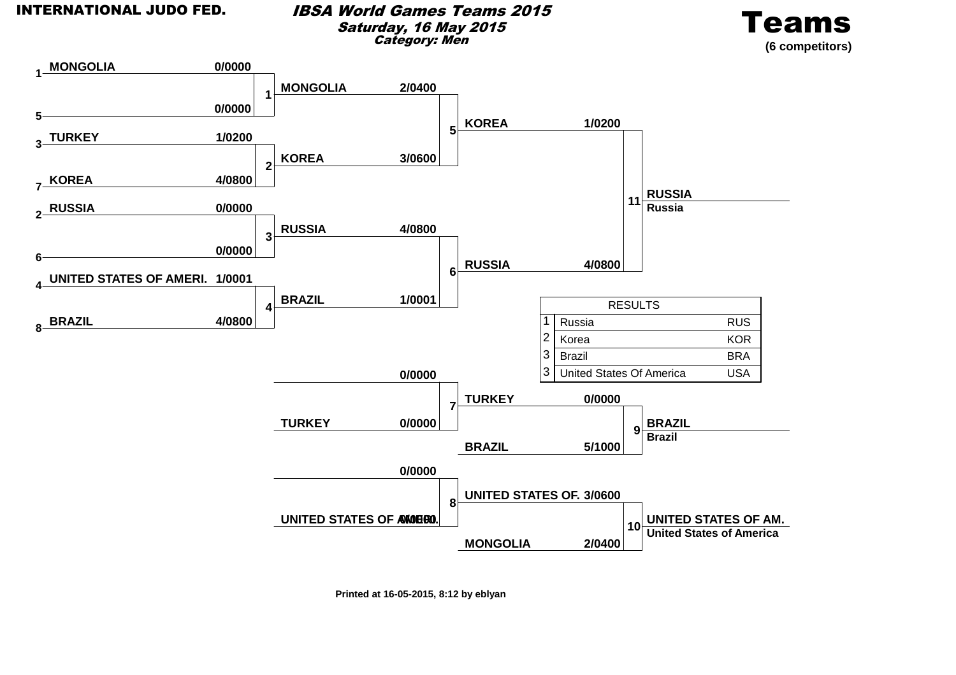### IBSA World Games Teams 2015Saturday, 16 May 2015Category: Men





**Printed at 16-05-2015, 8:12 by eblyan**